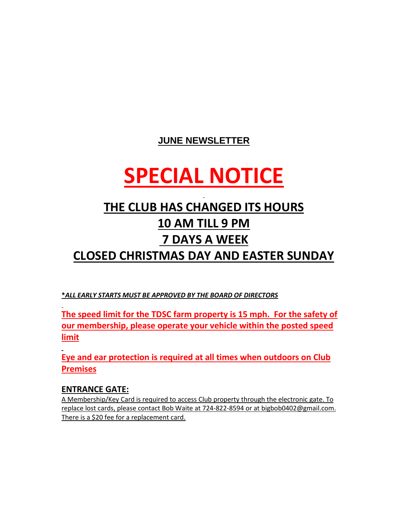## **JUNE NEWSLETTER**

# **SPECIAL NOTICE**

# **THE CLUB HAS CHANGED ITS HOURS 10 AM TILL 9 PM 7 DAYS A WEEK CLOSED CHRISTMAS DAY AND EASTER SUNDAY**

**\****ALL EARLY STARTS MUST BE APPROVED BY THE BOARD OF DIRECTORS*

**The speed limit for the TDSC farm property is 15 mph. For the safety of our membership, please operate your vehicle within the posted speed limit**

**Eye and ear protection is required at all times when outdoors on Club Premises**

#### **ENTRANCE GATE:**

A Membership/Key Card is required to access Club property through the electronic gate. To replace lost cards, please contact Bob Waite at 724-822-8594 or at [bigbob0402@gmail.com.](mailto:bigbob0402@gmail.com) There is a \$20 fee for a replacement card.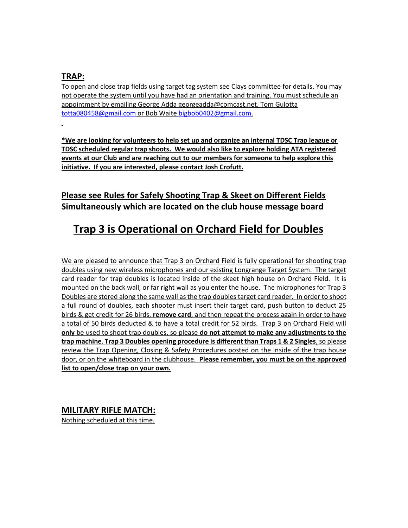#### **TRAP:**

To open and close trap fields using target tag system see Clays committee for details. You may not operate the system until you have had an orientation and training. You must schedule an appointment by emailing George Add[a georgeadda@comcast.net,](mailto:georgeadda@comcast.net) Tom Gulotta [totta080458@gmail.com](mailto:totta080458@gmail.com) or Bob Waite [bigbob0402@gmail.com.](mailto:bigbob0402@gmail.com)

**\*We are looking for volunteers to help set up and organize an internal TDSC Trap league or TDSC scheduled regular trap shoots. We would also like to explore holding ATA registered events at our Club and are reaching out to our members for someone to help explore this initiative. If you are interested, please contact Josh Crofutt.**

### **Please see Rules for Safely Shooting Trap & Skeet on Different Fields Simultaneously which are located on the club house message board**

# **Trap 3 is Operational on Orchard Field for Doubles**

We are pleased to announce that Trap 3 on Orchard Field is fully operational for shooting trap doubles using new wireless microphones and our existing Longrange Target System. The target card reader for trap doubles is located inside of the skeet high house on Orchard Field. It is mounted on the back wall, or far right wall as you enter the house. The microphones for Trap 3 Doubles are stored along the same wall as the trap doubles target card reader. In order to shoot a full round of doubles, each shooter must insert their target card, push button to deduct 25 birds & get credit for 26 birds, **remove card**, and then repeat the process again in order to have a total of 50 birds deducted & to have a total credit for 52 birds. Trap 3 on Orchard Field will **only** be used to shoot trap doubles, so please **do not attempt to make any adjustments to the trap machine**. **Trap 3 Doubles opening procedure is different than Traps 1 & 2 Singles**, so please review the Trap Opening, Closing & Safety Procedures posted on the inside of the trap house door, or on the whiteboard in the clubhouse. **Please remember, you must be on the approved list to open/close trap on your own.**

#### **MILITARY RIFLE MATCH:**

Nothing scheduled at this time.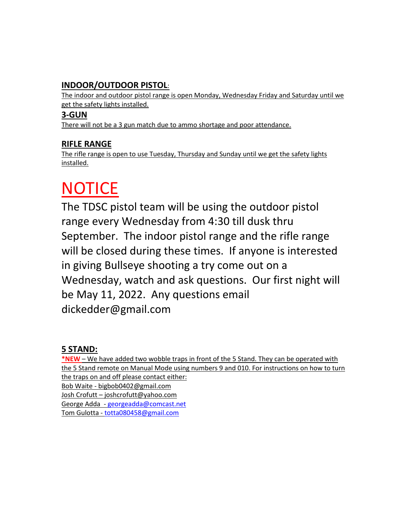### **INDOOR/OUTDOOR PISTOL**:

The indoor and outdoor pistol range is open Monday, Wednesday Friday and Saturday until we get the safety lights installed.

#### **3-GUN**

There will not be a 3 gun match due to ammo shortage and poor attendance.

#### **RIFLE RANGE**

The rifle range is open to use Tuesday, Thursday and Sunday until we get the safety lights installed.

# **NOTICE**

The TDSC pistol team will be using the outdoor pistol range every Wednesday from 4:30 till dusk thru September. The indoor pistol range and the rifle range will be closed during these times. If anyone is interested in giving Bullseye shooting a try come out on a Wednesday, watch and ask questions. Our first night will be May 11, 2022. Any questions email dickedder@gmail.com

#### **5 STAND:**

**\*NEW** – We have added two wobble traps in front of the 5 Stand. They can be operated with the 5 Stand remote on Manual Mode using numbers 9 and 010. For instructions on how to turn the traps on and off please contact either: Bob Waite - [bigbob0402@gmail.com](mailto:bigbob0402@gmail.com) Josh Crofutt – joshcrofutt@yahoo.com George Adda - [georgeadda@comcast.net](mailto:georgeadda@comcast.net) Tom Gulotta - [totta080458@gmail.com](mailto:totta080458@gmail.com)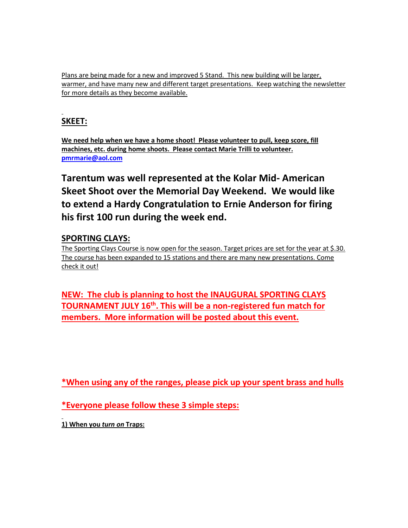Plans are being made for a new and improved 5 Stand. This new building will be larger, warmer, and have many new and different target presentations. Keep watching the newsletter for more details as they become available.

## **SKEET:**

**We need help when we have a home shoot! Please volunteer to pull, keep score, fill machines, etc. during home shoots. Please contact Marie Trilli to volunteer. [pmrmarie@aol.com](mailto:pmrmarie@aol.com)**

**Tarentum was well represented at the Kolar Mid- American Skeet Shoot over the Memorial Day Weekend. We would like to extend a Hardy Congratulation to Ernie Anderson for firing his first 100 run during the week end.** 

#### **SPORTING CLAYS:**

The Sporting Clays Course is now open for the season. Target prices are set for the year at \$.30. The course has been expanded to 15 stations and there are many new presentations. Come check it out!

**NEW: The club is planning to host the INAUGURAL SPORTING CLAYS TOURNAMENT JULY 16th. This will be a non-registered fun match for members. More information will be posted about this event.**

**\*When using any of the ranges, please pick up your spent brass and hulls**

**\*Everyone please follow these 3 simple steps:**

**1) When you** *turn on* **Traps:**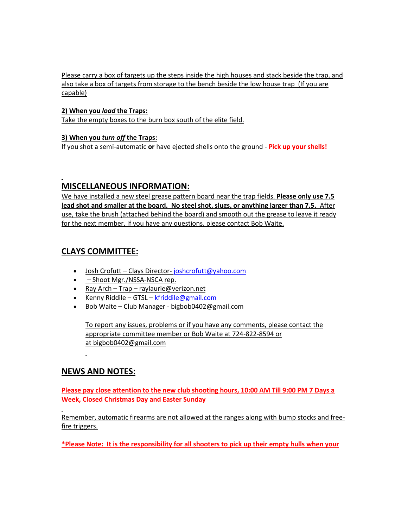Please carry a box of targets up the steps inside the high houses and stack beside the trap, and also take a box of targets from storage to the bench beside the low house trap (If you are capable)

**2) When you** *load* **the Traps:** Take the empty boxes to the burn box south of the elite field.

#### **3) When you** *turn off* **the Traps:**

If you shot a semi-automatic **or** have ejected shells onto the ground - **Pick up your shells!**

#### **MISCELLANEOUS INFORMATION:**

We have installed a new steel grease pattern board near the trap fields. **Please only use 7.5 lead shot and smaller at the board. No steel shot, slugs, or anything larger than 7.5.** After use, take the brush (attached behind the board) and smooth out the grease to leave it ready for the next member. If you have any questions, please contact Bob Waite.

#### **CLAYS COMMITTEE:**

- Josh Crofutt Clays Director- joshcrofutt@yahoo.com
- – Shoot Mgr./NSSA-NSCA rep.
- Ray Arch Trap [raylaurie@verizon.net](mailto:raylaurie@verizon.net)
- Kenny Riddile GTSL [kfriddile@gmail.com](mailto:kfriddile@gmail.com)
- Bob Waite Club Manager [bigbob0402@gmail.com](mailto:bigbob0402@gmail.com)

To report any issues, problems or if you have any comments, please contact the appropriate committee member or Bob Waite at 724-822-8594 or at [bigbob0402@gmail.com](mailto:bigbob0402@gmail.com)

#### **NEWS AND NOTES:**

**Please pay close attention to the new club shooting hours, 10:00 AM Till 9:00 PM 7 Days a Week, Closed Christmas Day and Easter Sunday**

Remember, automatic firearms are not allowed at the ranges along with bump stocks and freefire triggers.

**\*Please Note: It is the responsibility for all shooters to pick up their empty hulls when your**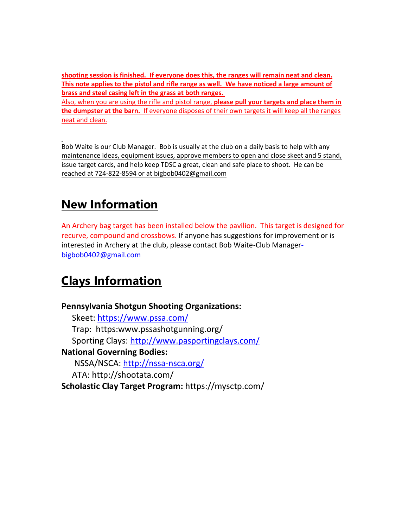**shooting session is finished. If everyone does this, the ranges will remain neat and clean. This note applies to the pistol and rifle range as well. We have noticed a large amount of brass and steel casing left in the grass at both ranges.**

Also, when you are using the rifle and pistol range, **please pull your targets and place them in the dumpster at the barn.** If everyone disposes of their own targets it will keep all the ranges neat and clean.

Bob Waite is our Club Manager. Bob is usually at the club on a daily basis to help with any maintenance ideas, equipment issues, approve members to open and close skeet and 5 stand, issue target cards, and help keep TDSC a great, clean and safe place to shoot. He can be reached at 724-822-8594 or at [bigbob0402@gmail.com](mailto:bigbob0402@gmail.com)

# **New Information**

An Archery bag target has been installed below the pavilion. This target is designed for recurve, compound and crossbows. If anyone has suggestions for improvement or is interested in Archery at the club, please contact Bob Waite-Club [Manager](mailto:Manager-bigbob0402@gmail.com)[bigbob0402@gmail.com](mailto:Manager-bigbob0402@gmail.com)

# **Clays Information**

**Pennsylvania Shotgun Shooting Organizations:** Skeet:<https://www.pssa.com/> Trap: https:www.pssashotgunning.org/ Sporting Clays:<http://www.pasportingclays.com/> **National Governing Bodies:** NSSA/NSCA:<http://nssa-nsca.org/> ATA: http://shootata.com/ **Scholastic Clay Target Program:** https://mysctp.com/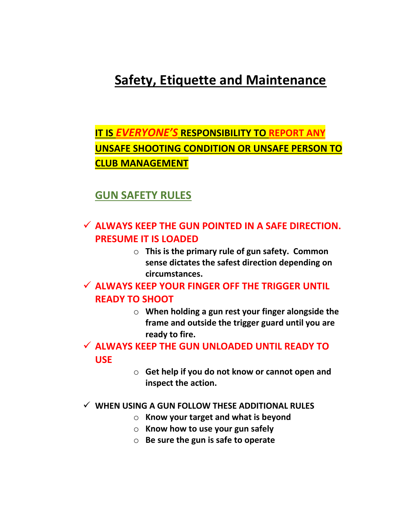# **Safety, Etiquette and Maintenance**

# **IT IS** *EVERYONE'S* **RESPONSIBILITY TO REPORT ANY UNSAFE SHOOTING CONDITION OR UNSAFE PERSON TO CLUB MANAGEMENT**

# **GUN SAFETY RULES**

# ✓ **ALWAYS KEEP THE GUN POINTED IN A SAFE DIRECTION. PRESUME IT IS LOADED**

o **This is the primary rule of gun safety. Common sense dictates the safest direction depending on circumstances.**

## ✓ **ALWAYS KEEP YOUR FINGER OFF THE TRIGGER UNTIL READY TO SHOOT**

o **When holding a gun rest your finger alongside the frame and outside the trigger guard until you are ready to fire.**

## ✓ **ALWAYS KEEP THE GUN UNLOADED UNTIL READY TO USE**

o **Get help if you do not know or cannot open and inspect the action.**

#### ✓ **WHEN USING A GUN FOLLOW THESE ADDITIONAL RULES**

- o **Know your target and what is beyond**
- o **Know how to use your gun safely**
- o **Be sure the gun is safe to operate**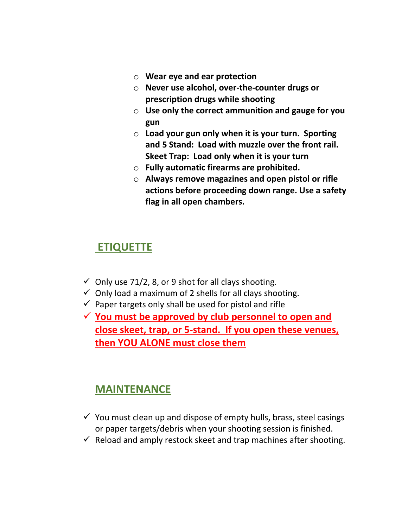- o **Wear eye and ear protection**
- o **Never use alcohol, over-the-counter drugs or prescription drugs while shooting**
- o **Use only the correct ammunition and gauge for you gun**
- o **Load your gun only when it is your turn. Sporting and 5 Stand: Load with muzzle over the front rail. Skeet Trap: Load only when it is your turn**
- o **Fully automatic firearms are prohibited.**
- o **Always remove magazines and open pistol or rifle actions before proceeding down range. Use a safety flag in all open chambers.**

## **ETIQUETTE**

- $\checkmark$  Only use 71/2, 8, or 9 shot for all clays shooting.
- $\checkmark$  Only load a maximum of 2 shells for all clays shooting.
- $\checkmark$  Paper targets only shall be used for pistol and rifle
- ✓ **You must be approved by club personnel to open and close skeet, trap, or 5-stand. If you open these venues, then YOU ALONE must close them**

## **MAINTENANCE**

- $\checkmark$  You must clean up and dispose of empty hulls, brass, steel casings or paper targets/debris when your shooting session is finished.
- $\checkmark$  Reload and amply restock skeet and trap machines after shooting.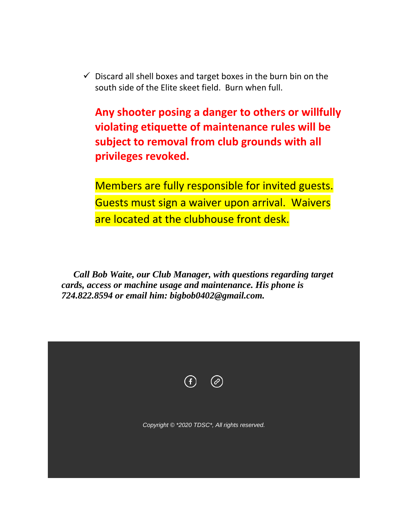$\checkmark$  Discard all shell boxes and target boxes in the burn bin on the south side of the Elite skeet field. Burn when full.

**Any shooter posing a danger to others or willfully violating etiquette of maintenance rules will be subject to removal from club grounds with all privileges revoked.**

Members are fully responsible for invited guests. Guests must sign a waiver upon arrival. Waivers are located at the clubhouse front desk.

*Call Bob Waite, our Club Manager, with questions regarding target cards, access or machine usage and maintenance. His phone is 724.822.8594 or email him: bigbob0402@gmail.com.*